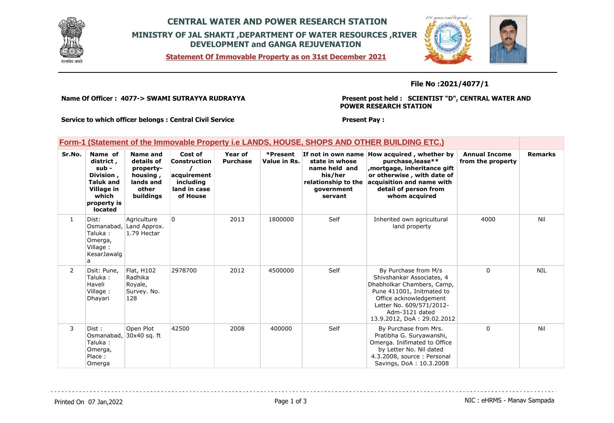

### **CENTRAL WATER AND POWER RESEARCH STATION MINISTRY OF JAL SHAKTI ,DEPARTMENT OF WATER RESOURCES ,RIVER DEVELOPMENT and GANGA REJUVENATION**

**Statement Of Immovable Property as on 31st December 2021**



#### **File No :2021/4077/1**

**Name Of Officer : 4077-> SWAMI SUTRAYYA RUDRAYYA** 

**Present post held : SCIENTIST "D", CENTRAL WATER AND POWER RESEARCH STATION**

**Service to which officer belongs : Central Civil Service**

#### **Present Pay :**

|  | Form-1 (Statement of the Immovable Property i.e LANDS, HOUSE, SHOPS AND OTHER BUILDING ETC.) |  |  |  |  |
|--|----------------------------------------------------------------------------------------------|--|--|--|--|
|  |                                                                                              |  |  |  |  |

| Sr.No.         | Name of<br>district,<br>sub -<br>Division,<br><b>Taluk and</b><br>Village in<br>which<br>property is<br>located | Name and<br>details of<br>property-<br>housing,<br>lands and<br>other<br>buildings | Cost of<br><b>Construction</b><br>acquirement<br>including<br>land in case<br>of House | Year of<br><b>Purchase</b> | *Present<br>Value in Rs. | If not in own name<br>state in whose<br>name held and<br>his/her<br>relationship to the<br>government<br>servant | How acquired, whether by<br>purchase, lease**<br>mortgage, inheritance gift,<br>or otherwise, with date of<br>acquisition and name with<br>detail of person from<br>whom acquired                                  | <b>Annual Income</b><br>from the property | <b>Remarks</b> |
|----------------|-----------------------------------------------------------------------------------------------------------------|------------------------------------------------------------------------------------|----------------------------------------------------------------------------------------|----------------------------|--------------------------|------------------------------------------------------------------------------------------------------------------|--------------------------------------------------------------------------------------------------------------------------------------------------------------------------------------------------------------------|-------------------------------------------|----------------|
| $\mathbf{1}$   | Dist:<br>Osmanabad,<br>Taluka :<br>Omerga,<br>Village:<br>KesarJawalg<br>a                                      | Agriculture<br>Land Approx.<br>1.79 Hectar                                         | 0                                                                                      | 2013                       | 1800000                  | Self                                                                                                             | Inherited own agricultural<br>land property                                                                                                                                                                        | 4000                                      | Nil            |
| $\overline{2}$ | Dsit: Pune,<br>Taluka :<br>Haveli<br>Village:<br>Dhayari                                                        | Flat, H102<br>Radhika<br>Royale,<br>Survey. No.<br>128                             | 2978700                                                                                | 2012                       | 4500000                  | Self                                                                                                             | By Purchase from M/s<br>Shivshankar Associates, 4<br>Dhabholkar Chambers, Camp,<br>Pune 411001, Initmated to<br>Office acknowledgement<br>Letter No. 609/571/2012-<br>Adm-3121 dated<br>13.9.2012, DoA: 29.02.2012 | 0                                         | <b>NIL</b>     |
| 3              | Dist :<br>Osmanabad,<br>Taluka :<br>Omerga,<br>Place:<br>Omerga                                                 | Open Plot<br>30x40 sq. ft                                                          | 42500                                                                                  | 2008                       | 400000                   | Self                                                                                                             | By Purchase from Mrs.<br>Pratibha G. Suryawanshi,<br>Omerga. Inifimated to Office<br>by Letter No. Nil dated<br>4.3.2008, source: Personal<br>Savings, DoA: 10.3.2008                                              | $\mathbf{0}$                              | Nil            |

Printed On 07 Jan, 2022 2001 12:00 Page 1 of 3 Page 1 of 3 NIC : eHRMS - Manav Sampada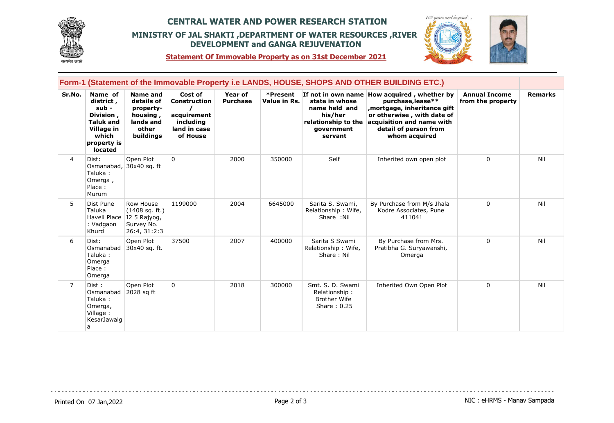

## **CENTRAL WATER AND POWER RESEARCH STATION MINISTRY OF JAL SHAKTI ,DEPARTMENT OF WATER RESOURCES ,RIVER DEVELOPMENT and GANGA REJUVENATION**



**Statement Of Immovable Property as on 31st December 2021**

|                |                                                                                                                 |                                                                                           |                                                                                        |                            |                          |                                                                                            | Form-1 (Statement of the Immovable Property i.e LANDS, HOUSE, SHOPS AND OTHER BUILDING ETC.)                                                                                                         |                                           |                |
|----------------|-----------------------------------------------------------------------------------------------------------------|-------------------------------------------------------------------------------------------|----------------------------------------------------------------------------------------|----------------------------|--------------------------|--------------------------------------------------------------------------------------------|------------------------------------------------------------------------------------------------------------------------------------------------------------------------------------------------------|-------------------------------------------|----------------|
| Sr.No.         | Name of<br>district,<br>sub -<br>Division,<br><b>Taluk and</b><br>Village in<br>which<br>property is<br>located | <b>Name and</b><br>details of<br>property-<br>housing,<br>lands and<br>other<br>buildings | Cost of<br><b>Construction</b><br>acquirement<br>including<br>land in case<br>of House | Year of<br><b>Purchase</b> | *Present<br>Value in Rs. | state in whose<br>name held and<br>his/her<br>relationship to the<br>qovernment<br>servant | If not in own name How acquired, whether by<br>purchase, lease**<br>mortgage, inheritance gift,<br>or otherwise, with date of<br>acquisition and name with<br>detail of person from<br>whom acquired | <b>Annual Income</b><br>from the property | <b>Remarks</b> |
| 4              | Dist:<br>Osmanabad,<br>Taluka:<br>Omerga,<br>Place:<br>Murum                                                    | Open Plot<br>30x40 sq. ft                                                                 | $\overline{0}$                                                                         | 2000                       | 350000                   | Self                                                                                       | Inherited own open plot                                                                                                                                                                              | $\Omega$                                  | Nil            |
| 5              | Dist Pune<br>Taluka<br>Haveli Place<br>: Vadgaon<br>Khurd                                                       | Row House<br>(1408 sq. ft.)<br>I2 5 Rajyog,<br>Survey No.<br>26:4, 31:2:3                 | 1199000                                                                                | 2004                       | 6645000                  | Sarita S. Swami,<br>Relationship: Wife,<br>Share :Nil                                      | By Purchase from M/s Jhala<br>Kodre Associates, Pune<br>411041                                                                                                                                       | $\Omega$                                  | Nil            |
| 6              | Dist:<br>Osmanabad<br>Taluka:<br>Omerga<br>Place:<br>Omerga                                                     | Open Plot<br>30x40 sq. ft.                                                                | 37500                                                                                  | 2007                       | 400000                   | Sarita S Swami<br>Relationship: Wife,<br>Share: Nil                                        | By Purchase from Mrs.<br>Pratibha G. Suryawanshi,<br>Omerga                                                                                                                                          | $\Omega$                                  | Nil            |
| $\overline{7}$ | Dist:<br>Osmanabad<br>Taluka:<br>Omerga,<br>Village:<br>KesarJawalg<br>a                                        | Open Plot<br>2028 sq ft                                                                   | $\overline{0}$                                                                         | 2018                       | 300000                   | Smt. S. D. Swami<br>Relationship:<br><b>Brother Wife</b><br>Share: 0.25                    | Inherited Own Open Plot                                                                                                                                                                              | $\mathbf{0}$                              | Nil            |

. . . . . . . . .

Printed On 07 Jan, 2022 **Page 2 of 3** Page 2 of 3 NIC : eHRMS - Manav Sampada

. . . . . . . . . . . . . . . . . .